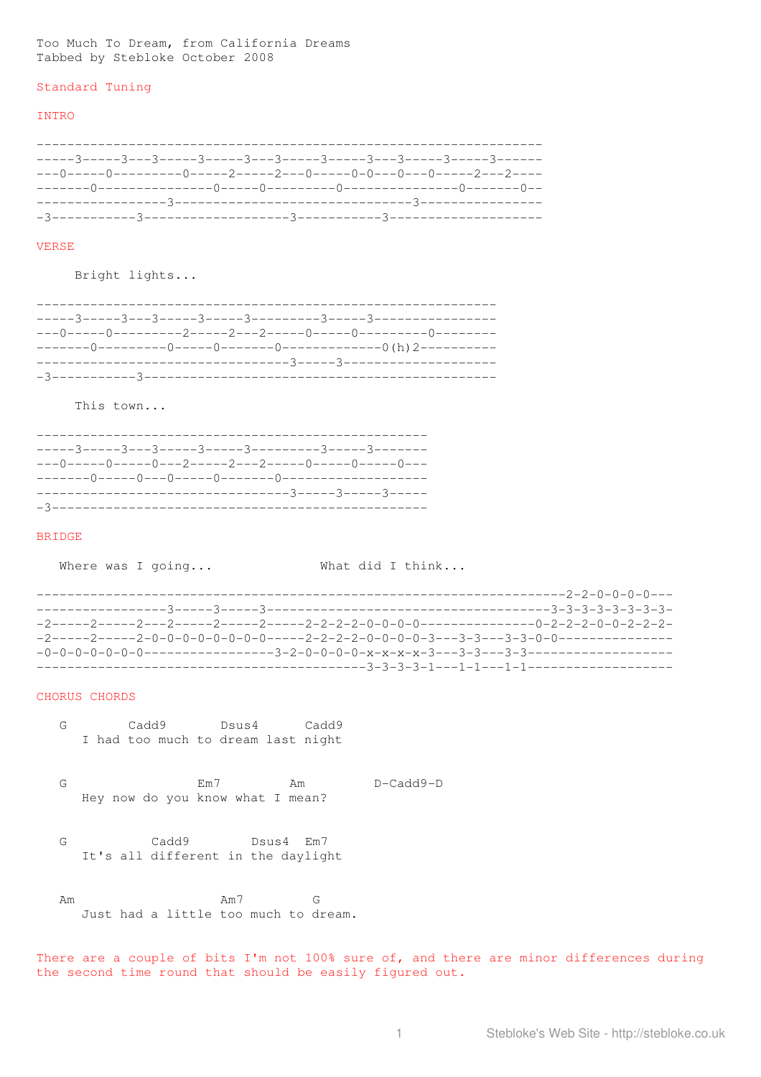Too Much To Dream, from California Dreams Tabbed by Stebloke October 2008

#### Standard Tuning

## INTRO

------------------------------------------------------------------ -----3-----3---3-----3-----3---3-----3-----3---3-----3-----3------ ---0-----0---------0-----2-----2---0-----0-0---0---0-----2---2---- -------0---------------0-----0---------0---------------0-------0-- -----------------3-------------------------------3---------------- -3-----------3-------------------3-----------3--------------------

# VERSE

Bright lights...

This town...

| $-\!-\!-0\!-\!-\!-\!-0\!-\!-\!-\!-0\!-\!-2\!-\!-\!-\!-2\!-\!-\!-2\!-\!-\!-\!-0\!-\!-\!-\!-0\!-\!-\!-\!-0\!-\!-\!-$ |
|--------------------------------------------------------------------------------------------------------------------|
|                                                                                                                    |
|                                                                                                                    |
|                                                                                                                    |

#### BRIDGE

Where was I going... What did I think...

|                      | ----2-2-0-0-0-0--- |
|----------------------|--------------------|
|                      |                    |
|                      |                    |
|                      |                    |
| $-0-0-0-0-0-0-0-0-1$ |                    |
|                      |                    |

## CHORUS CHORDS

- G Cadd9 Dsus4 Cadd9 I had too much to dream last night
- G Em7 Am D-Cadd9-D Hey now do you know what I mean?
- G Cadd9 Dsus4 Em7 It's all different in the daylight

Am Am7 G Just had a little too much to dream.

There are a couple of bits I'm not 100% sure of, and there are minor differences during the second time round that should be easily figured out.